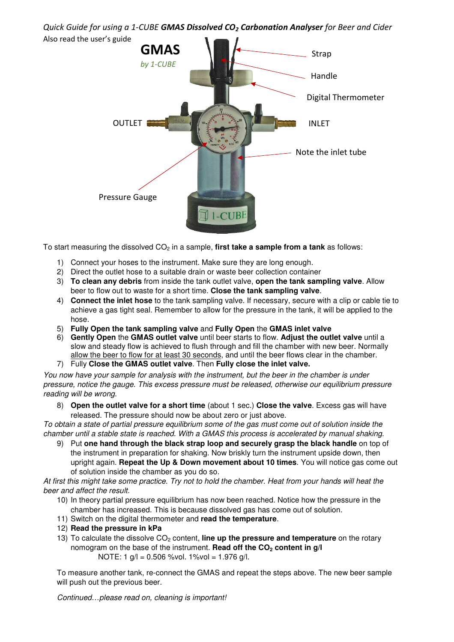Quick Guide for using a 1-CUBE GMAS Dissolved CO<sub>2</sub> Carbonation Analyser for Beer and Cider Also read the user's guide



To start measuring the dissolved CO<sub>2</sub> in a sample, **first take a sample from a tank** as follows:

- 1) Connect your hoses to the instrument. Make sure they are long enough.
- 2) Direct the outlet hose to a suitable drain or waste beer collection container
- 3) **To clean any debris** from inside the tank outlet valve, **open the tank sampling valve**. Allow beer to flow out to waste for a short time. **Close the tank sampling valve**.
- 4) **Connect the inlet hose** to the tank sampling valve. If necessary, secure with a clip or cable tie to achieve a gas tight seal. Remember to allow for the pressure in the tank, it will be applied to the hose.
- 5) **Fully Open the tank sampling valve** and **Fully Open** the **GMAS inlet valve**
- 6) **Gently Open** the **GMAS outlet valve** until beer starts to flow. **Adjust the outlet valve** until a slow and steady flow is achieved to flush through and fill the chamber with new beer. Normally allow the beer to flow for at least 30 seconds, and until the beer flows clear in the chamber.
- 7) Fully **Close the GMAS outlet valve**. Then **Fully close the inlet valve.**

You now have your sample for analysis with the instrument, but the beer in the chamber is under pressure, notice the gauge. This excess pressure must be released, otherwise our equilibrium pressure reading will be wrong.

8) **Open the outlet valve for a short time** (about 1 sec.) **Close the valve**. Excess gas will have released. The pressure should now be about zero or just above.

To obtain a state of partial pressure equilibrium some of the gas must come out of solution inside the chamber until a stable state is reached. With a GMAS this process is accelerated by manual shaking.

9) Put **one hand through the black strap loop and securely grasp the black handle** on top of the instrument in preparation for shaking. Now briskly turn the instrument upside down, then upright again. **Repeat the Up & Down movement about 10 times**. You will notice gas come out of solution inside the chamber as you do so.

At first this might take some practice. Try not to hold the chamber. Heat from your hands will heat the beer and affect the result.

- 10) In theory partial pressure equilibrium has now been reached. Notice how the pressure in the chamber has increased. This is because dissolved gas has come out of solution.
- 11) Switch on the digital thermometer and **read the temperature**.
- 12) **Read the pressure in kPa**
- 13) To calculate the dissolve CO<sub>2</sub> content, **line up the pressure and temperature** on the rotary nomogram on the base of the instrument. **Read off the CO2 content in g/l** NOTE: 1 g/l = 0.506 %vol. 1%vol = 1.976 g/l.

To measure another tank, re-connect the GMAS and repeat the steps above. The new beer sample will push out the previous beer.

Continued…please read on, cleaning is important!